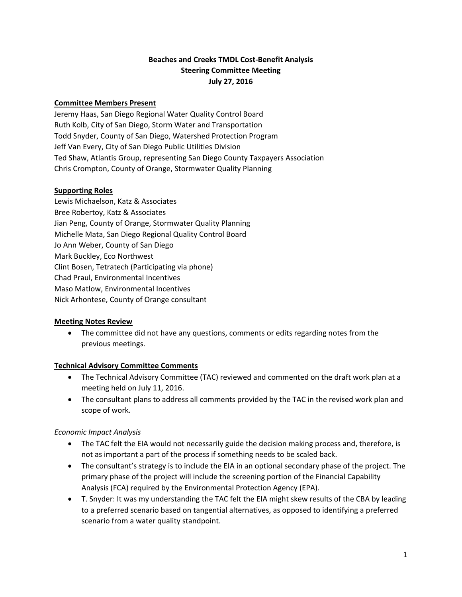# **Beaches and Creeks TMDL Cost‐Benefit Analysis Steering Committee Meeting July 27, 2016**

### **Committee Members Present**

Jeremy Haas, San Diego Regional Water Quality Control Board Ruth Kolb, City of San Diego, Storm Water and Transportation Todd Snyder, County of San Diego, Watershed Protection Program Jeff Van Every, City of San Diego Public Utilities Division Ted Shaw, Atlantis Group, representing San Diego County Taxpayers Association Chris Crompton, County of Orange, Stormwater Quality Planning

#### **Supporting Roles**

Lewis Michaelson, Katz & Associates Bree Robertoy, Katz & Associates Jian Peng, County of Orange, Stormwater Quality Planning Michelle Mata, San Diego Regional Quality Control Board Jo Ann Weber, County of San Diego Mark Buckley, Eco Northwest Clint Bosen, Tetratech (Participating via phone) Chad Praul, Environmental Incentives Maso Matlow, Environmental Incentives Nick Arhontese, County of Orange consultant

#### **Meeting Notes Review**

 The committee did not have any questions, comments or edits regarding notes from the previous meetings.

# **Technical Advisory Committee Comments**

- The Technical Advisory Committee (TAC) reviewed and commented on the draft work plan at a meeting held on July 11, 2016.
- The consultant plans to address all comments provided by the TAC in the revised work plan and scope of work.

# *Economic Impact Analysis*

- The TAC felt the EIA would not necessarily guide the decision making process and, therefore, is not as important a part of the process if something needs to be scaled back.
- The consultant's strategy is to include the EIA in an optional secondary phase of the project. The primary phase of the project will include the screening portion of the Financial Capability Analysis (FCA) required by the Environmental Protection Agency (EPA).
- T. Snyder: It was my understanding the TAC felt the EIA might skew results of the CBA by leading to a preferred scenario based on tangential alternatives, as opposed to identifying a preferred scenario from a water quality standpoint.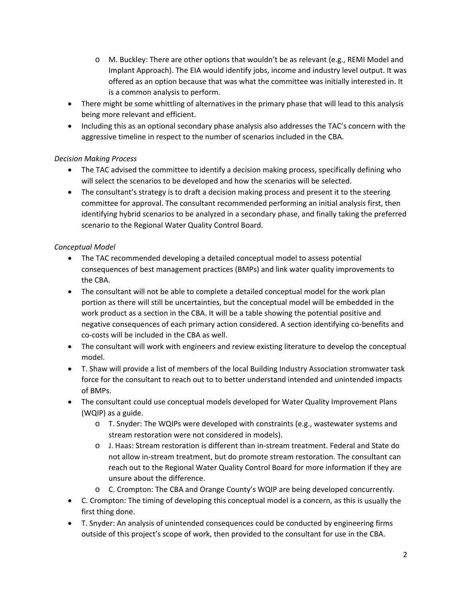- $\circ$  M. Buckley: There are other options that wouldn't be as relevant (e.g., REMI Model and Implant Approach). The EIA would identify jobs, income and industry level output. It was offered as an option because that was what the committee was initially interested in. It is a common analysis to perform.
- There might be some whittling of alternatives in the primary phase that will lead to this analysis being more relevant and efficient.
- Including this as an optional secondary phase analysis also addresses the TAC's concern with the aggressive timeline in respect to the number of scenarios included in the CBA.

# *Decision Making Process*

- The TAC advised the committee to identify a decision making process, specifically defining who will select the scenarios to be developed and how the scenarios will be selected.
- The consultant's strategy is to draft a decision making process and present it to the steering committee for approval. The consultant recommended performing an initial analysis first, then identifying hybrid scenarios to be analyzed in a secondary phase, and finally taking the preferred scenario to the Regional Water Quality Control Board.

# *Conceptual Model*

- The TAC recommended developing a detailed conceptual model to assess potential consequences of best management practices (BMPs) and link water quality improvements to the CBA.
- The consultant will not be able to complete a detailed conceptual model for the work plan portion as there will still be uncertainties, but the conceptual model will be embedded in the work product as a section in the CBA. It will be a table showing the potential positive and negative consequences of each primary action considered. A section identifying co‐benefits and co‐costs will be included in the CBA as well.
- The consultant will work with engineers and review existing literature to develop the conceptual model.
- T. Shaw will provide a list of members of the local Building Industry Association stromwater task force for the consultant to reach out to to better understand intended and unintended impacts of BMPs.
- The consultant could use conceptual models developed for Water Quality Improvement Plans (WQIP) as a guide.
	- o T. Snyder: The WQIPs were developed with constraints (e.g., wastewater systems and stream restoration were not considered in models).
	- o J. Haas: Stream restoration is different than in‐stream treatment. Federal and State do not allow in‐stream treatment, but do promote stream restoration. The consultant can reach out to the Regional Water Quality Control Board for more information if they are unsure about the difference.
	- o C. Crompton: The CBA and Orange County's WQIP are being developed concurrently.
- C. Crompton: The timing of developing this conceptual model is a concern, as this is usually the first thing done.
- T. Snyder: An analysis of unintended consequences could be conducted by engineering firms outside of this project's scope of work, then provided to the consultant for use in the CBA.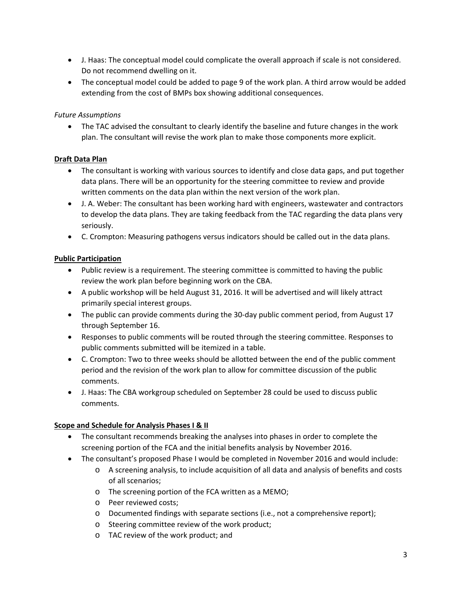- J. Haas: The conceptual model could complicate the overall approach if scale is not considered. Do not recommend dwelling on it.
- The conceptual model could be added to page 9 of the work plan. A third arrow would be added extending from the cost of BMPs box showing additional consequences.

### *Future Assumptions*

 The TAC advised the consultant to clearly identify the baseline and future changes in the work plan. The consultant will revise the work plan to make those components more explicit.

### **Draft Data Plan**

- The consultant is working with various sources to identify and close data gaps, and put together data plans. There will be an opportunity for the steering committee to review and provide written comments on the data plan within the next version of the work plan.
- J. A. Weber: The consultant has been working hard with engineers, wastewater and contractors to develop the data plans. They are taking feedback from the TAC regarding the data plans very seriously.
- C. Crompton: Measuring pathogens versus indicators should be called out in the data plans.

### **Public Participation**

- Public review is a requirement. The steering committee is committed to having the public review the work plan before beginning work on the CBA.
- A public workshop will be held August 31, 2016. It will be advertised and will likely attract primarily special interest groups.
- The public can provide comments during the 30-day public comment period, from August 17 through September 16.
- Responses to public comments will be routed through the steering committee. Responses to public comments submitted will be itemized in a table.
- C. Crompton: Two to three weeks should be allotted between the end of the public comment period and the revision of the work plan to allow for committee discussion of the public comments.
- J. Haas: The CBA workgroup scheduled on September 28 could be used to discuss public comments.

#### **Scope and Schedule for Analysis Phases I & II**

- The consultant recommends breaking the analyses into phases in order to complete the screening portion of the FCA and the initial benefits analysis by November 2016.
- The consultant's proposed Phase I would be completed in November 2016 and would include:
	- o A screening analysis, to include acquisition of all data and analysis of benefits and costs of all scenarios;
	- o The screening portion of the FCA written as a MEMO;
	- o Peer reviewed costs;
	- o Documented findings with separate sections (i.e., not a comprehensive report);
	- o Steering committee review of the work product;
	- o TAC review of the work product; and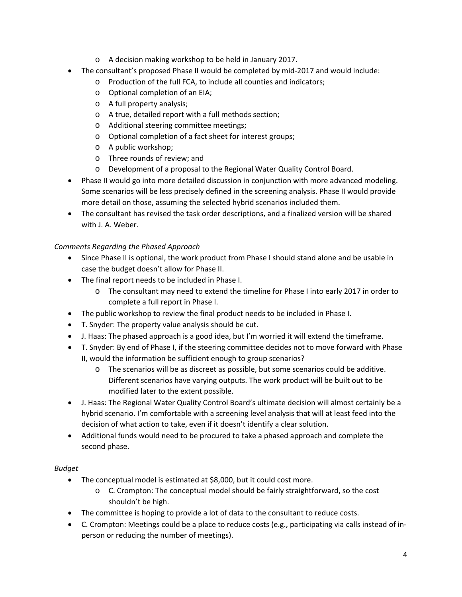- o A decision making workshop to be held in January 2017.
- The consultant's proposed Phase II would be completed by mid‐2017 and would include:
	- o Production of the full FCA, to include all counties and indicators;
	- o Optional completion of an EIA;
	- o A full property analysis;
	- o A true, detailed report with a full methods section;
	- o Additional steering committee meetings;
	- o Optional completion of a fact sheet for interest groups;
	- o A public workshop;
	- o Three rounds of review; and
	- o Development of a proposal to the Regional Water Quality Control Board.
- Phase II would go into more detailed discussion in conjunction with more advanced modeling. Some scenarios will be less precisely defined in the screening analysis. Phase II would provide more detail on those, assuming the selected hybrid scenarios included them.
- The consultant has revised the task order descriptions, and a finalized version will be shared with J. A. Weber.

#### *Comments Regarding the Phased Approach*

- Since Phase II is optional, the work product from Phase I should stand alone and be usable in case the budget doesn't allow for Phase II.
- The final report needs to be included in Phase I.
	- o The consultant may need to extend the timeline for Phase I into early 2017 in order to complete a full report in Phase I.
- The public workshop to review the final product needs to be included in Phase I.
- T. Snyder: The property value analysis should be cut.
- J. Haas: The phased approach is a good idea, but I'm worried it will extend the timeframe.
- T. Snyder: By end of Phase I, if the steering committee decides not to move forward with Phase II, would the information be sufficient enough to group scenarios?
	- o The scenarios will be as discreet as possible, but some scenarios could be additive. Different scenarios have varying outputs. The work product will be built out to be modified later to the extent possible.
- J. Haas: The Regional Water Quality Control Board's ultimate decision will almost certainly be a hybrid scenario. I'm comfortable with a screening level analysis that will at least feed into the decision of what action to take, even if it doesn't identify a clear solution.
- Additional funds would need to be procured to take a phased approach and complete the second phase.

#### *Budget*

- The conceptual model is estimated at \$8,000, but it could cost more.
	- o C. Crompton: The conceptual model should be fairly straightforward, so the cost shouldn't be high.
- The committee is hoping to provide a lot of data to the consultant to reduce costs.
- C. Crompton: Meetings could be a place to reduce costs (e.g., participating via calls instead of in‐ person or reducing the number of meetings).